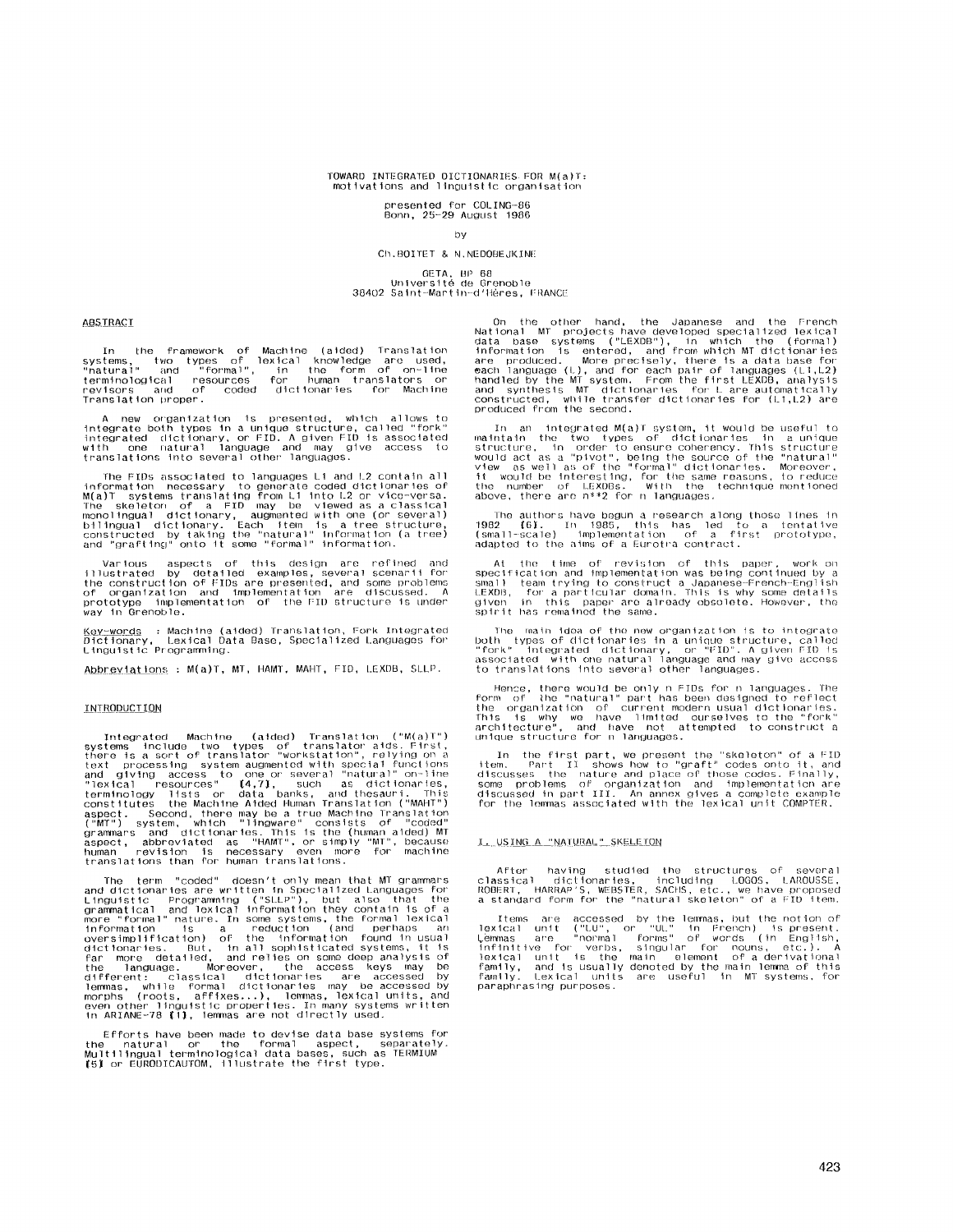# TOWARD INTEGRATED DICTIONARIES FOR M(a)T:<br>motivations and linguistic organisation

presented for COLING-86<br>Bonn, 25-29 August 1986

# by

## Ch.BOITET & N.NEDOBEJKINE

GETA, BP 68<br>Université de Grenoble<br>38402 Saint-Martin-d'Hères, FRANCE

**ABSTRACT** 

In the framework of Machine (aided) Translation<br>systems, two types of lexical knowledge are used,<br>"natural" and "formal", in the form of on-line<br>terminological resources for human translators or<br>revisors and of coded dicti

A new organization is presented, which allows to<br>integrate both types in a unique structure, called "fork"<br>integrated dictionary, or FID. A given FID is associated<br>with one natural language and may give access to<br>translati

The FIDs associated to languages L1 and L2 contain all<br>information necessary to generate coded dictionaries of<br>M(a)T systems translating from L1 into L2 or vice-versa.<br>The skeletor of a FID may be viewed as a classical<br>mo

Various aspects of this design are refined and<br>illustrated by detailed examples, several scenarii for<br>the construction of FIDs are presented, and some problems<br>of organization and implementation are discussed. A<br>prototype

<u>Key-words</u> : Machine (aided) Translation, Fork Integrated<br>Dictionary, Lexical Data Base, Specialized Languages for<br>Linguistic Programming.

Abbreviations: M(a)T, MT, HAMT, MAHT, FID, LEXDB, SLLP.

## **INTRODUCTION**

Integrated Machine (aided) Translation ("M(a)T")<br>systems include two types of translator aids. First,<br>there is a sort of translator "workstation", relying on a<br>text processing system augmented with special functions<br>and g

The term "coded" doesn't only mean that MT grammars<br>and dictionaries are written in Specialized Languages for<br>Inguistic Programming ("SLLP"), but also that the<br>grammatical and lexical information they contain is of a<br>more "coded" doesn't only mean that MT grammars term Tho.

Efforts have been made to devise data base systems for<br>the \_natural \_or \_the \_formal \_aspect, \_separately.<br>Multilingual terminological data bases, such as TERMIUM<br>(5) or EURODICAUTOM, illustrate the first type.

On the other hand, the Japanese and the French<br>National MT projects have developed specialized lexical<br>data base systems ("LEXDB"), in which the (formal)<br>information is entered, and from which MT dictionaries<br>are produced

In an integrated M(a)T system, it would be useful to<br>maintain the two types of dictionaries in a unique<br>structure, in order to ensure coherency. This structure<br>would act as a "pivot", being the source of the "natural"<br>vie

The authors have begun a research along those lines in<br>1982 – (6). In 1985, this has led to a tentative<br>(small-scale) – implementation of a first prototype,<br>adapted to the aims of a Eurotra contract.

At the time of revision of this paper, work on<br>specification and implementation was being continued by a<br>small team trying to construct a Japanese-French-English<br>LEXDB, for a particular domain. This is why some details<br>giv

The main idea of the new organization is to integrate<br>both types of dictionaries in a unique structure, called<br>"fork" integrated dictionary, or "FID". A given FID is<br>associated with one natural language and may give access both associated

Hence, there would be only n FIDs for n languages. The form of the "natural" part has been designed to reflect the organization of current modern usual dictionaries.<br>This is why we have limited ourselves to the "fork" arc

In the first part, we present the "skeleton" of a FID<br>tem. Part II shows how to "graft" codes onto it, and<br>discusses the nature and place of those codes. Finally,<br>some problems of organization and implementation are<br>discu

## I. USING A "NATURAL" SKELETON

After having studied the structures of several<br>classical dictionaries, including LOGOS, LAROUSSE,<br>ROBERT, HARRAP'S, WEBSTER, SACHS, etc., we have proposed<br>a standard form for the "natural skeleton" of a FID item.

Items are accessed by the lemmas, but the notion of<br>lexical unit ("LU", or "UL" in French) is present.<br>Lemmas are "normal forms" of words (in English,<br>infinitive for verbs, singular for nouns, etc.). A<br>lexical unit is the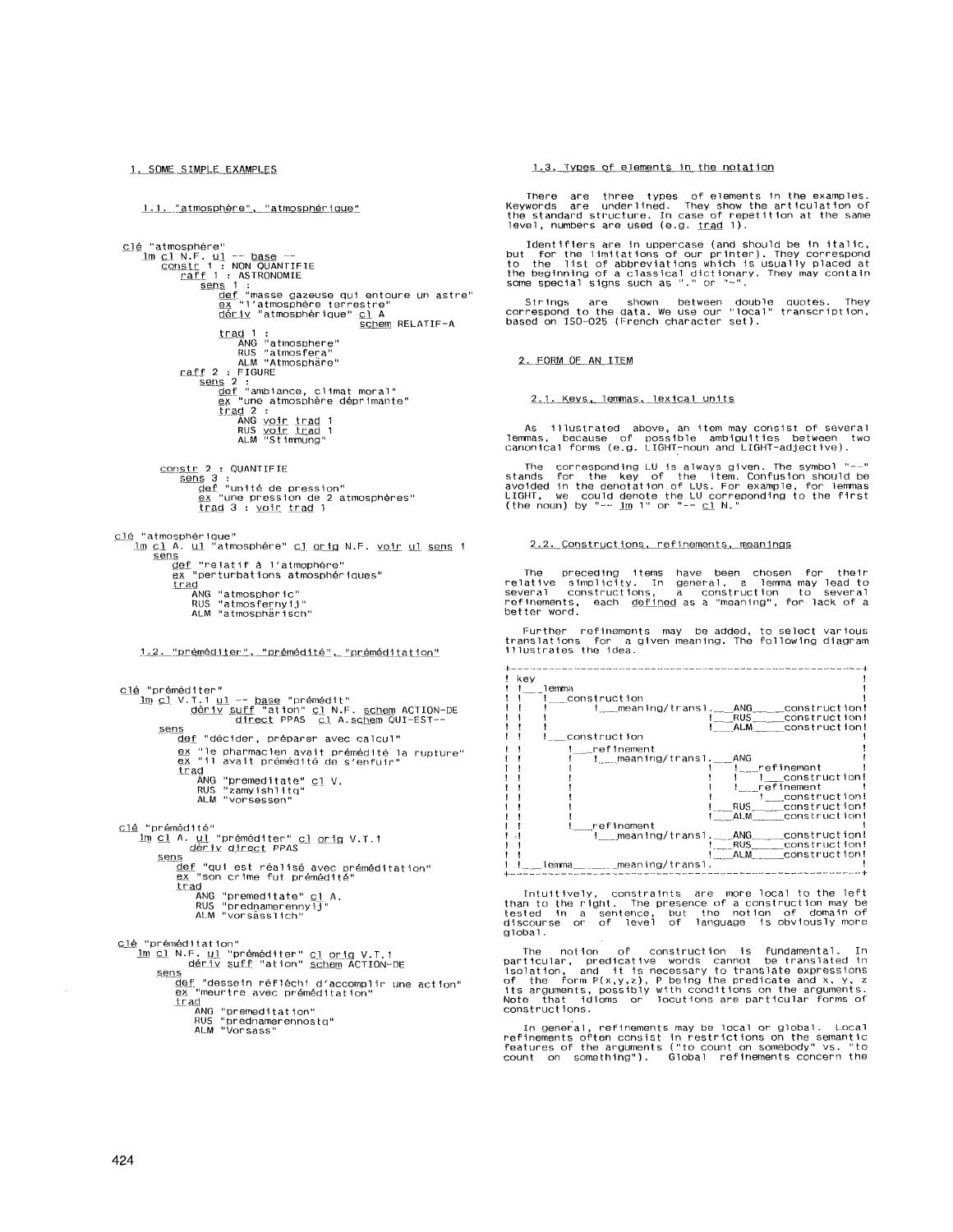1. SOME SIMPLE EXAMPLES

1.1. "atmosphère", "atmosphérique"

{<br>
"atmosphère"<br>
<u>Construition Construction</u><br>
Construction COMMITIFIE<br>
Construction of Construction<br>
Construction of the sense of the same of the same of the sense of the sense of the sense of the schem RELATIF-A<br>
Construc clé "atmosphère" trad 1 :<br>ANG "atmosphere"<br>RUS "atmosfera"<br>ALM "Atmosphäre" raff 2 : FIGURE if 2 : FIGURE<br>
<u>sens</u> 2 :<br>
<u>def</u> "ambiance, climat moral"<br>
<u>ex</u> "une atmosphère déprimante"<br>
Iraq 2 :<br>
ANG yoir trad 1<br>
RUS <u>yoir trad</u> 1<br>
ALM "Stimmung" <u>constr</u> 2 : QUANTIFIE<br>
<u>sens</u> 3 :<br>
<u>def</u> "umité de pression"<br>
<u>ex</u> "une pression de 2 atmosphères" trad 3 : yoir trad 1 <u>clé</u> "atmosphérique"<br>Im <u>cl</u> A. <u>ul</u> "atmosphère" <u>cl orig</u> N.F. <u>voir ul sens</u> 1

sens <u>ns</u><br><u>def</u> "relatif à l'atmophère"<br><u>ex</u> "perturbations atmosphériques"  $\overline{\text{trad}}$ 

<u>.u</u><br>ANG "atmospheric"

Rus atmospheric<br>RUS "atmosferny1j"<br>ALM "atmosphärisch"

1.2. "préméditer", "prémédité", "préméditation"

clé "préméditer" Im cl V.T.1 ul -- base "prémédit"<br>1m cl V.T.1 ul -- base "prémédit"<br>direct PPAS cl A.schem QUI-EST-sens def "décider, préparer avec calcul" ex "le pharmacien avait prémédité la rupture"<br>ex "le pharmacien avait prémédité la rupture"<br>ex "il avait prémédité de s'enfuir" ea '' avair premeditate" <u>cl</u> V.<br>Trad ANG "premeditate" <u>cl</u> V.<br>RUS "zamyishlitq"<br>ALM "vorsessen" <u>clé</u> "prémédité"<br><u>lm cl</u> A. <u>ul</u> "préméditer" <u>cl orig</u> V.T.1<br>dérix direct PPAS <u>ns</u><br><u>def</u> "qui est réalisé avec préméditation"<br><u>ex "</u>son crime fut prémédité" **EX** "SON Crime in promotion<br> **trad**<br>
ANG "premeditate" <u>c1</u> A,<br>
RUS "prednamerennyij"<br>
ALM "vorsässlich" clé "préméditation"<br><u>Im cl</u> N.F. <u>ul</u> "préméditer" cl <u>orig</u> V.T.1<br>cope dériv suff "ation" <u>schem</u> ACTION-DE sens <u>is</u><br><u>def</u> "dessein réfléchi d'accomplir une action"<br><u>ex "</u>meurtre avec préméditation" atu.<br><u>trad</u><br>trad (no "premeditation"<br>RNS "prednamerennostq"<br>RUS "prednamerennostq"<br>ALM "Vorsass"

1.3. Types of elements in the notation

There are three types of elements in the examples.<br>Keywords are underlined. They show the articulation of the standard structure. In case of repetition at the same<br>level, numbers are used (e.g. <u>trad</u> 1).

Identifiers are in uppercase (and should be in italic,<br>but for the limitations of our printer). They correspond<br>the beginning of abbreviations which is usually placed at<br>the beginning of a classical dictionary. They may c

Strings are shown between double quotes. They<br>correspond to the data. We use our "local" transcription,<br>based on ISO-025 (French character set).

2. FORM OF AN ITEM

2.1. Keys, lemmas, lexical units

As illustrated above, an item may consist of several<br>lemmas, because of possible ambiguities between two<br>canonical forms (e.g. LIGHT-noun and LIGHT-adjective).

The corresponding LU is always given. The symbol "--"<br>stands for the key of the item. Confusion should be<br>avoided in the denotation of LUS. For example, for lemmas<br>LIGHT, we could denote the LU correponding to the first<br>(

### 2.2. Constructions, refinements, meanings

The preceding items have been chosen for their<br>relative simplicity. In general, a lemma may lead to<br>several constructions, a construction to several<br>refinements, each <u>defined</u> as a "meaning", for lack of a<br>better word.

Further refinements may be added, to select various<br>translations for a given meaning. The following diagram<br>illustrates the idea.



Intuitively, constraints are more local to the left<br>than to the right. The presence of a construction may be<br>tested in a sentence, but the notion of domain of<br>discourse or of level of language is obviously more  $9100a1$ 

The notion of construction is fundamental. In particular, predicative words cannot be translated in isolation, and it is necessary to translate expressions of the form  $P(x,y,z)$ , P being the predicate and  $x, y, z$ , P being t constructions.

In general, refinements may be local or global. Local<br>refinements often consist in restrictions on the semantic<br>features of the arguments ("to count on somebody" vs. "to<br>count on something"). Global refinements concern the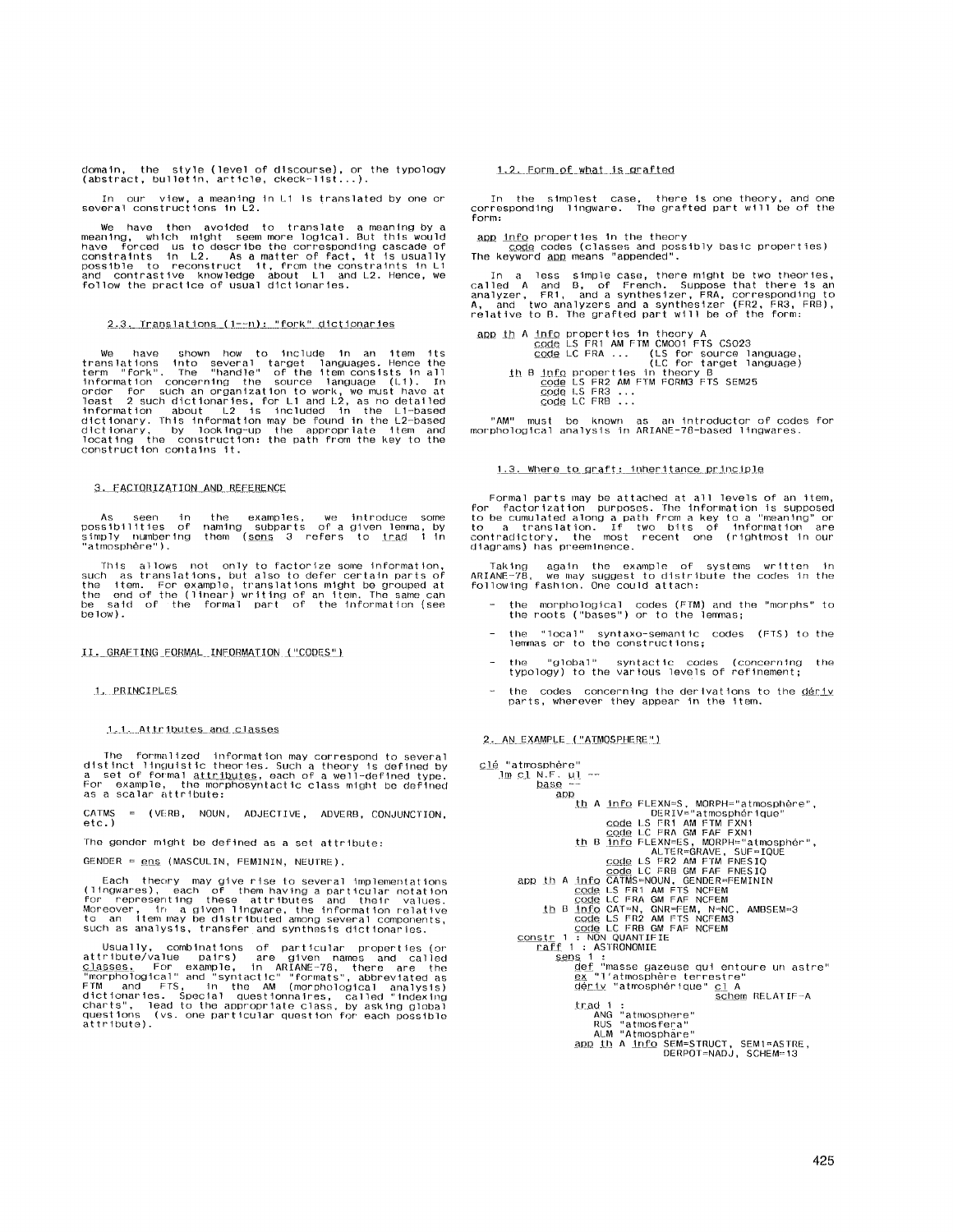domain, the style (level of discourse), or the typology (abstract, bulletln, article, ckeck-11st...).

In our view, a meaning In L1 ls translated by one or several constructions In L2.

We have then avoided to translate a meaning by a<br>meaning, which might seem more logical. But this would<br>have forced us to describe the corresponding cascade of<br>constraints in L2. As a matter of fact, it is usually<br>possible

## $2.3.$  Translations  $(1-\neg n):$  "fork" dictionaries

We have shown how to include in an item its<br>translations into several target languages. Hence the<br>term "fork", the "handle" of the item consists in all<br>information concerning the source language (L1). In<br>order for such an

3. FACTORIZATION AND REFERENCE

As seen in the examples, we introduce some<br>possibilities of naming subparts of a given lemma, by<br>simply numbering them (<u>sens</u> 3 refers to <u>trad</u> 1 in posens........<br>simply number<br>"atmosphère").

This allows not only to factorize some information,<br>such as translations, but also to defer certain parts of<br>the item. For example, translations might be grouped at<br>the end of the (linear) writing of an item. The same can<br> be low).

II. GRAFIING FORMAL INFORMATION ("CODES")

## 1. PRINCIPLES

1.1. Attributes and classes

The formalized information may correspond to several<br>distinct linguistic theories. Such a theory is defined by<br>a set of formal <u>attributes</u>, each of a well-defined type.<br>For example, the morphosyntactic class might be defi

CATMS = (VERB, NOUN, ADJECTIVE, ADVERB, CONJUNCTION, etc. )

The gender might be defined as a set attribute:

GENOER = ens (MASCULIN, FEMINTN, NEUTRE).

Each theory may give rise to several implementations<br>(lingwares), each of them having a particular notation<br>for representing these attributes and their values.<br>Moreover, in a given lingware, the information relative<br>to an

Usually, combinations of particular properties (or<br>attribute/value pairs) are given names and called<br>classes. For example, in ARIANE-78, there are the<br>"morphological" and "syntactic" "formats", abbreviated as<br>"morphologica

## 1.2. Form of what is grafted

In the simplest case, there is one theory, and one<br>corresponding lingware. The grafted part will be of the form:

<u>app info</u> properties in the theory<br>code codes (classes and possibly basic properties)<br>The keyword <u>app</u> means "appended".

In a less simple case, there might be two theories,<br>called A and B, of French. Suppose that there is an<br>analyzer, FR1, and a synthesizer, FRA, corresponding to<br>A, and two analyzers and a synthesizer (FR2, FR3, FRB),<br>relati

app\_th\_A\_info properties in theory A<br>code LS FR1 AM FTM CMO01 FTS CS023<br>c<u>ode</u> LC FRA ... (LS for source language)<br>(LS for sarget language) th B <u>info</u> properties in theory B<br>code LS FR2 AM FTM FORM3 FTS SEM25<br>code LS FR3 ...<br>code LC FRB ...

"AM" must be known as an introductor-of-codes-for-<br>morphological-analysis-in-ARIANE-78-based-lingwares.

# 1.3. Where to graft: inheritance principle

Formal parts may be attached at all levels of an item,<br>for factorization purposes. The information is supposed<br>to be cumulated along a path from a key to a "meaning" or<br>contradictory, the most recent one (rightmost in our<br>

Taking again the example of systems written In ARIANE-78, we may suggest to distribute the codes In the following fashlon. One could attach:

- the morphological codes (FTM) and the "morphs" to the roots ("bases") or to the lenin/as;
- the "local" syntaxo-semantic codes (FTS) to the<br>- lemmas or to the constructions;
- the "global" syntactic codes (concerning the typology) to the various levels of refinement;
- the codes concerning the derivations to the deriv parts, wherever they appear In the item.

2. AN\_EXAMPLE ("ATMOSPHERE")

```
clé "atmosphère"
           \frac{\text{Im }c1 \text{ N.F. }u1 - \text{}}{\text{base}}ADP (1 A info FLEXN=S, MORPH="atmosphere",<br>
code LS FRIV="atmospherique"<br>
code LS FRI AM FTM FXN1<br>
th B info FLEXN=S, MORPH="atmospher",<br>
code LC FRA GM FAF FXN1<br>
th B info FLEXN=S, MORPH="atmospher",<br>
code LC FRA GM FAF F
                                                       ANG "atmosphere"<br>RUS "atmosfera"<br>ALM "Atmosphare"<br>ADD 1DERPOT=NADJ, SCHEM=13<br>DERPOT=NADJ, SCHEM=13
```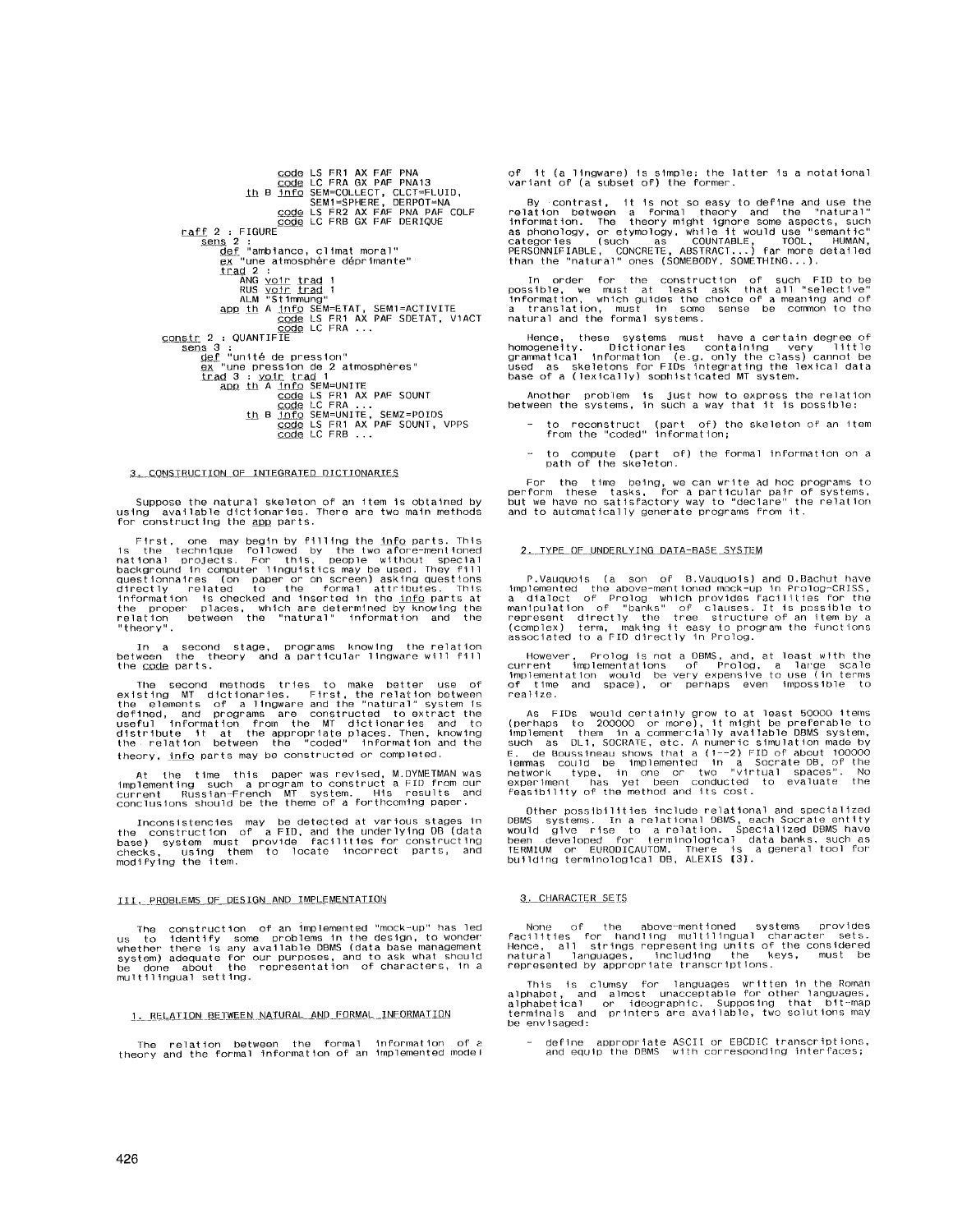COde LS FR1 AX FAF PNA<br>
COde LC FRA GX PAF PNA13<br>
th B info SEM=COLLECT, CLCT=FLUID,<br>
SEM1=SPHERE, DERPOT=NA<br>
CODE LS FR2 AX FAF PNATCOLF<br>
raff 2 : FIGURE<br>
sens 2 it 2 : ricode<br><u>sens</u> 2 :<br><u>def</u> "ambiance, climat moral"<br><u>ex</u> "une atmosphère déprimante" Sens  $\frac{def}{dx}$  "une atmosphere cup.<br>  $\frac{ex}{dx}$  "une atmosphere cup.<br>  $\frac{ex}{x}$  "une atmosphere cup.<br>  $\frac{ex}{x}$  "une atmosphere cup.<br>  $\frac{cos x}{x + 1}$  and 1<br>  $\frac{1}{x + 1}$  and  $\frac{1}{x + 1}$ <br>  $\frac{1}{x + 1}$  and  $\frac{1}{x + 1}$ <br>  $\frac{1$ 

## 3. CONSTRUCTION OF INTEGRATED DICTIONARIES

Suppose the natural skeleton of an item is obtained by<br>using available dictionaries. There are two main methods<br>for constructing the <u>app</u> parts.  $\mu$ s ind

First, one may begin by filling the info parts. This<br>is the technique followed by the two afore-mentioned<br>national projects. For this, people without special<br>background in computer inguistics may be used. They fill<br>questi

In a second stage, programs knowing the relation<br>between the theory and a-particular lingware-will-fill-<br>the-<u>code</u>-parts. hetween

The second methods tries to make better use of existing MT dictionaries. First, the relation between the elements of a lingware and the "natural" system is defined, and programs are constructed to extract the useful infor theory, info parts may be constructed or completed.

At the time this paper was revised, M.DYMETMAN was<br>implementing such a program to construct a FID from our<br>current Russian-French MT system. His results and<br>conclusions should be the theme of a forthcoming paper.

Inconsistencies may be detected at various stages in<br>the construction of a FID, and the underlying DB (data<br>base) system must provide facilities for constructing<br>checks, using them to locate incorrect parts, and<br>modifying

## III. PROBLEMS OF DESIGN AND IMPLEMENTATION

The construction of an implemented "mock-up" has led<br>us to identify some problems in the design, to wonder<br>whether there is any available DBMS (data base management<br>system) adequate for our purposes, and to ask what should about multilingual setting.

### 1. RELATION BETWEEN NATURAL AND FORMAL INFORMATION

The relation between the formal information of a<br>theory and the formal information of an implemented model

of it (a lingware) is simple: the latter is a notational<br>variant of (a subset of) the former.

By contrast, it is not so easy to define and use the relation between a formal theory and the "natural" information. The theory might ignore some aspects, such as phonology, or etymology, while it would use "semantic" sta

In order for the construction of such FID to be possible, we must at least ask that all "selective"<br>information, which guides the choice of a meaning and of<br>a translation, must in some sense be common to the<br>natural and th

Hence, these systems must have a certain degree of homogeneity. Dictionaries containing very little grammatical information (e.g. only the class) cannot be used as skeletons for FIDs integrating the lexical data base of a

Another problem is just how to express the relation<br>between the systems, in such a way that it is possible:

- to reconstruct (part of) the skeleton of an item<br>from the "coded" information;
- to compute (part of) the formal information on a path of the skeleton.

For the time being, we can write ad hoc programs to<br>perform these tasks, for a particular pair of systems,<br>but we have no satisfactory way to "declare" the relation<br>and to automatically generate programs from it.

## 2. TYPE OF UNDERLYING DATA-BASE SYSTEM

P.Vauquois (a son of B.Vauquois) and D.Bachut have<br>implemented the above-mentioned mock-up in Prolog-CRISS,<br>a dialect of Prolog which provides facilities for the<br>manipulation of "banks" of clauses. It is possible to<br>repre

However, Prolog is not a DBMS, and, at least with the current implementations of Prolog, a large scale final implementation would be very expensive to use (in terms of time and space), or perhaps even impossible to ∽<br>realize.

As FIDs would certainly grow to at least 50000 items<br>(perhaps to 200000 or more), it might be preferable to<br>implement them in a commercially available DBMS system,<br>such as DL1, SOCRATE, etc. A numeric simulation made by<br>E

Other possibilities include relational and specialized<br>DBMS systems. In a relational DBMS, each Socrate entity<br>would give rise to a relation. Specialized DBMS have<br>been developed for terminological data banks, such as<br>JERM

### 3. CHARACTER SETS

None of the above-mentioned systems provides<br>facilities for handling multilingual character sets.<br>Hence, all strings representing units of the considered<br>natural languages, including the keys, must be<br>represented by approp

This is clumsy for languages written in the Roman<br>alphabet, and almost unacceptable for other languages,<br>alphabetical or ideographic, Supposing that bit-map<br>terminals and printers are available, two solutions may be envisaged:

define appropriate ASCII or EBCDIC transcriptions,<br>and equip the DBMS with corresponding interfaces;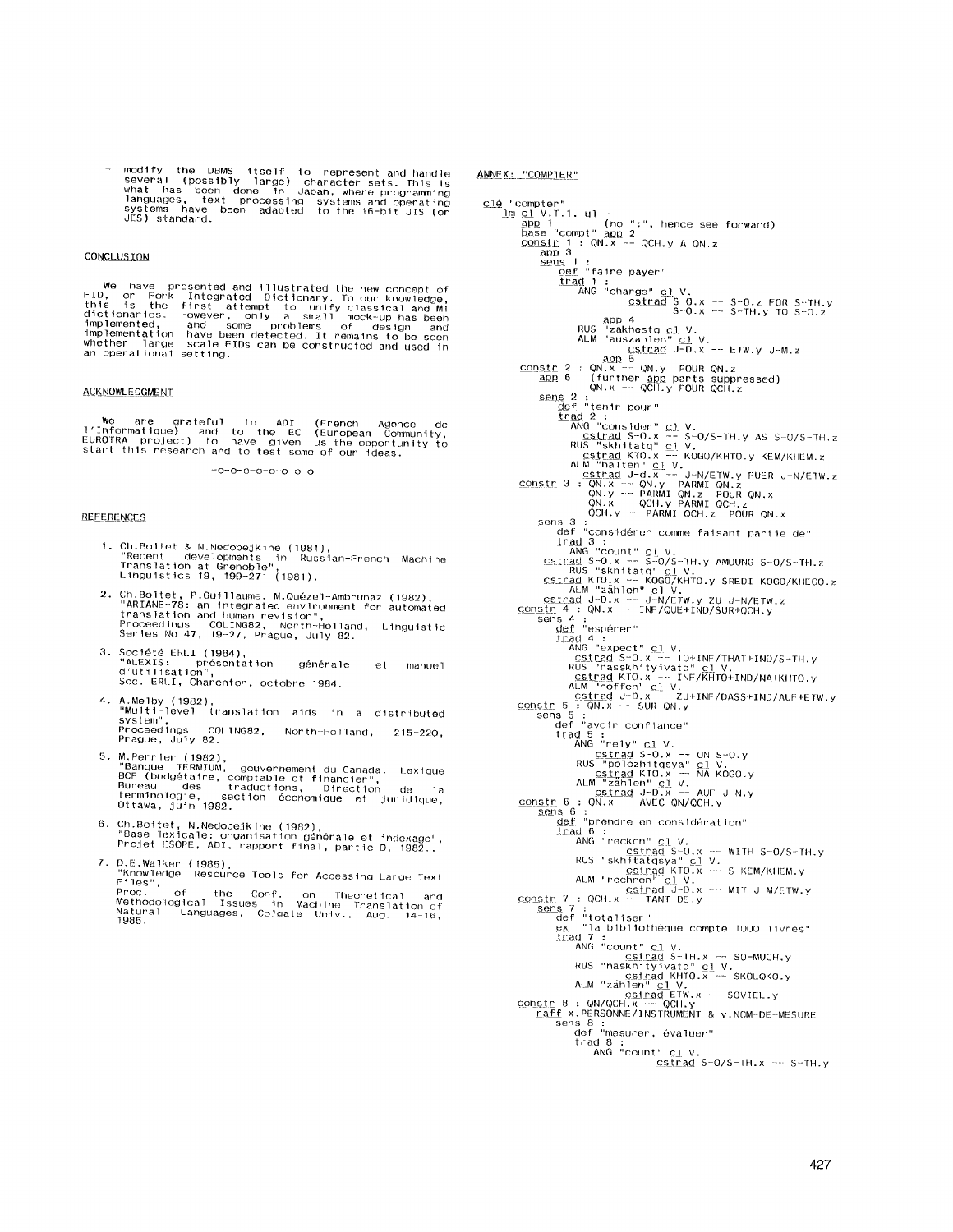modify the DBMS fitself to represent and handle<br>several (possibly large) character sets. This is<br>what has been done in Japan, where programming<br>languages, text processing systems and operating<br>systems have been adapted to

# **CONCLUS ION**

We have presented and illustrated the new concept of<br>FID, or Fork Integrated Dictionary, To our knowledge,<br>this is the first attempt to unify classical and MT<br>dictionaries. However, only a small mock-up has been<br>implemente

## ACKNOWLEDGMENT

we are grateful to ADI (French Agence de<br>l'Informatique) and to the EC (European Community,<br>EUROTRA project) to have given us the opportunity to<br>start this research and to test some of our ideas.

 $-0-0-0-0-0-0-0-0-0$ 

## **REFERENCES**

- 1. Ch. Boitet & N.NedobeJkine (1981), "Recent developments in RLISS 1an-French Machlne Translation at Grenoble", Linguistics 19, 199-271 (1981).
- 2. Ch.Boitet, P.Guillaume, M.Quézel-Ambrunaz (1982),<br>"ARIANE-78: an integrated environment for automate<br>"Froceedings COLING82, North-Holland, Linguisti<br>Proceedings COLING82, North-Holland, Linguisti<br>Series No 47, 19-27
- 3. Société ERLI (1984),<br>"ALEXIS: présentation générale et manuel<br>d'utilisation", Soc. ERLI, Charenton, octobre 1984.
- 4. A.Melby (1982),<br>"Multi-level" translation aids in a distributed<br>"Bystem",<br>"Proceedings COLING82, North-Holland, 215-220,<br>"Prague, July 82.
- 5. M.Perrier (1982),<br>"Banque TERMIUM, gouvernement du Canada. Lexique<br>BCF (budgétaire, comptable et financier",<br>Bureau des traductions, Direction de la<br>terminologie, section économique et juridique,<br>Ottawa, juin 1982.
- 6. Ch.Boitet, N.Nedobejkine (1982),<br>"Base Texicale: organisation générale et indexage"<br>"Projet ESOPE, ADI, rapport final, partie D. 1982. 7. D.E.Walker (1985),
- "Knowledge Resource-Tools for Accessing Large Text<br>Files", of the Conf. on Theoretical and<br>Proc. of the Conf. on Theoretical and<br>Methodological Issues in Machine Translation of<br>1985. Languages, Colgate Univ., Aug. 14-16,

ANNEX: "COMPTER"

```
c<u>lé</u> "compter"
                      app '<br>base "compt" app 2<br><u>constr</u> 1 : QN.x -- QCH.y A QN.z<br>app 3<br>sens 1 :
                                             def "falre payer"<br>
<u>trad</u> 1 :<br>
ANG "charge" <u>cl</u> V.<br>
S-O.x -- S-D.z FOR S-TH.y<br>
S-O.x -- S-TH.y TO S-O.z<br>
RUS "zakhestq cl V.<br>
ALM "auszahlen" cl V.
                      D$.[ra.d J-D.x -- ETW.y J-M.z 
aJoD 5 
coDs tr 2 : ON.x -- ON.y POUR ON.z 
aP.P_ 6 (further _aDD parts suppressed) 
ON.x -- OCH.y POUR OCH.z 
                     Sens 2:<br>
\frac{dF}{dt} "tenir pour"<br>
\frac{1}{2} "tenir pour"<br>
\frac{1}{2} "tenir pour"<br>
\frac{1}{2} "consider" \frac{c}{c}! V.<br>
\frac{c}{c} "skhitatq" \frac{c}{c}! V.<br>
\frac{1}{c} "skhitatq" \frac{c}{c}! V.<br>
\frac{1}{c} "skhitatq" \frac{1}{c}!
                    RUS "SKIMING" LIV.<br>
ALM "Zahlen" CIV.<br>
ALM Techno" CIV.<br>
ALM Techno" CIV.<br>
2015<br>
CONSIT 4 : QN.X -- JRF/QUE+IND/SUR+QCH.y<br>
CONSIT 4 : QN.X -- INF/QUE+IND/SUR+QCH.y<br>
Sensite 4 : QN.X -- INF/QUE+IND/SUR+QCH.y<br>
Sensite 4 : QN
                                           <u>def</u> "totaliser"<br>ex  "la bibliothèque compte 1000 livres
                    irad 7 :<br>
ANG "Count" C1 V.<br>
ESTERIGE S-TH. x -- SO-MUCH.y<br>
RUS "nashifyivatq" C1 V.<br>
CSILER KHTO. x -- SKOLQKO.y<br>
ALM "zählen" C1 V.<br>
CODSIT 8 : QN/QCH. x -- QCH.y<br>
CODSIT 8 : QN/QCH. x -- QCH.y<br>
Taff x.PERSONNE/INSTRUMEN
                                                   \frac{\text{def}}{\text{trad}} 8:<br>
ANG "count" cl V.<br>
cstrad S-O/S-TH.x -- S-TH.y<br>
cstrad S-O/S-TH.x -- S-TH.y
```